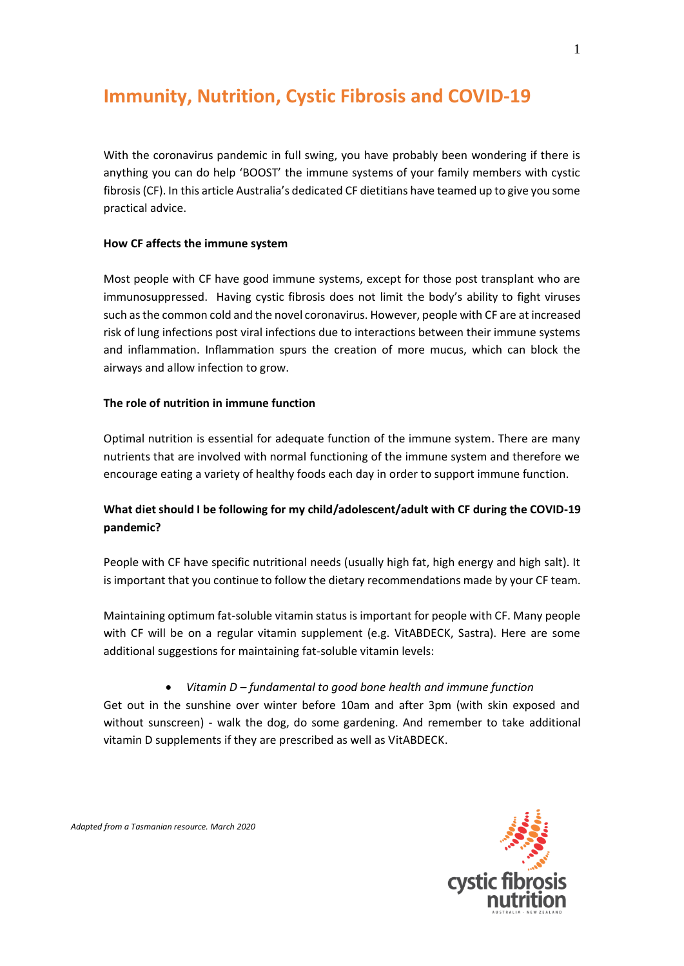# **Immunity, Nutrition, Cystic Fibrosis and COVID-19**

With the coronavirus pandemic in full swing, you have probably been wondering if there is anything you can do help 'BOOST' the immune systems of your family members with cystic fibrosis (CF). In this article Australia's dedicated CF dietitians have teamed up to give you some practical advice.

#### **How CF affects the immune system**

Most people with CF have good immune systems, except for those post transplant who are immunosuppressed. Having cystic fibrosis does not limit the body's ability to fight viruses such as the common cold and the novel coronavirus. However, people with CF are at increased risk of lung infections post viral infections due to interactions between their immune systems and inflammation. Inflammation spurs the creation of more mucus, which can block the airways and allow infection to grow.

#### **The role of nutrition in immune function**

Optimal nutrition is essential for adequate function of the immune system. There are many nutrients that are involved with normal functioning of the immune system and therefore we encourage eating a variety of healthy foods each day in order to support immune function.

## **What dietshould I be following for my child/adolescent/adult with CF during the COVID-19 pandemic?**

People with CF have specific nutritional needs (usually high fat, high energy and high salt). It is important that you continue to follow the dietary recommendations made by your CF team.

Maintaining optimum fat-soluble vitamin status is important for people with CF. Many people with CF will be on a regular vitamin supplement (e.g. VitABDECK, Sastra). Here are some additional suggestions for maintaining fat-soluble vitamin levels:

#### • *Vitamin D – fundamental to good bone health and immune function*

Get out in the sunshine over winter before 10am and after 3pm (with skin exposed and without sunscreen) - walk the dog, do some gardening. And remember to take additional vitamin D supplements if they are prescribed as well as VitABDECK.

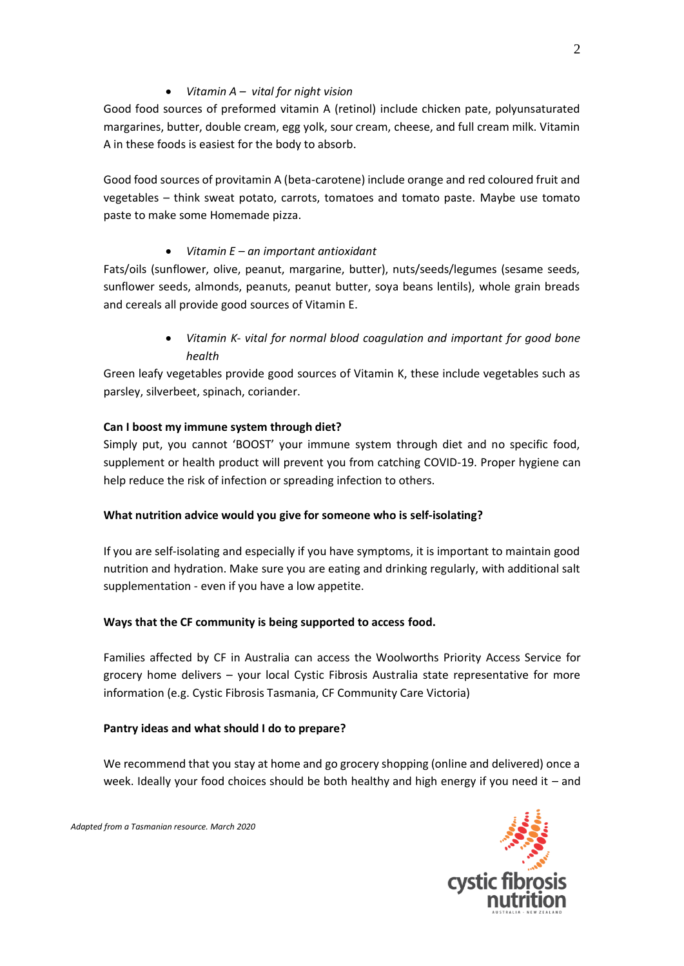#### • *Vitamin A – vital for night vision*

Good food sources of preformed vitamin A (retinol) include chicken pate, polyunsaturated margarines, butter, double cream, egg yolk, sour cream, cheese, and full cream milk. Vitamin A in these foods is easiest for the body to absorb.

Good food sources of provitamin A (beta-carotene) include orange and red coloured fruit and vegetables – think sweat potato, carrots, tomatoes and tomato paste. Maybe use tomato paste to make some Homemade pizza.

## • *Vitamin E – an important antioxidant*

Fats/oils (sunflower, olive, peanut, margarine, butter), nuts/seeds/legumes (sesame seeds, sunflower seeds, almonds, peanuts, peanut butter, soya beans lentils), whole grain breads and cereals all provide good sources of Vitamin E.

> • *Vitamin K- vital for normal blood coagulation and important for good bone health*

Green leafy vegetables provide good sources of Vitamin K, these include vegetables such as parsley, silverbeet, spinach, coriander.

## **Can I boost my immune system through diet?**

Simply put, you cannot 'BOOST' your immune system through diet and no specific food, supplement or health product will prevent you from catching COVID-19. Proper hygiene can help reduce the risk of infection or spreading infection to others.

## **What nutrition advice would you give for someone who is self-isolating?**

If you are self-isolating and especially if you have symptoms, it is important to maintain good nutrition and hydration. Make sure you are eating and drinking regularly, with additional salt supplementation - even if you have a low appetite.

## **Ways that the CF community is being supported to access food.**

Families affected by CF in Australia can access the Woolworths Priority Access Service for grocery home delivers – your local Cystic Fibrosis Australia state representative for more information (e.g. Cystic Fibrosis Tasmania, CF Community Care Victoria)

## **Pantry ideas and what should I do to prepare?**

We recommend that you stay at home and go grocery shopping (online and delivered) once a week. Ideally your food choices should be both healthy and high energy if you need it – and

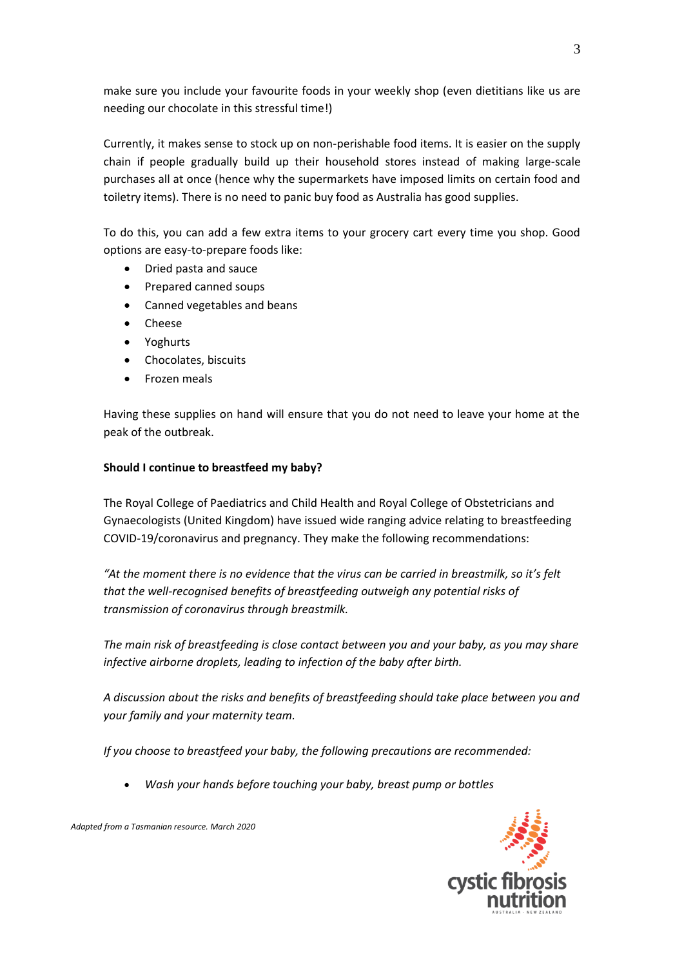make sure you include your favourite foods in your weekly shop (even dietitians like us are needing our chocolate in this stressful time!)

Currently, it makes sense to stock up on non-perishable food items. It is easier on the supply chain if people gradually build up their household stores instead of making large-scale purchases all at once (hence why the supermarkets have imposed limits on certain food and toiletry items). There is no need to panic buy food as Australia has good supplies.

To do this, you can add a few extra items to your grocery cart every time you shop. Good options are easy-to-prepare foods like:

- Dried pasta and sauce
- Prepared canned soups
- Canned vegetables and beans
- Cheese
- Yoghurts
- Chocolates, biscuits
- Frozen meals

Having these supplies on hand will ensure that you do not need to leave your home at the peak of the outbreak.

#### **Should I continue to breastfeed my baby?**

The Royal College of Paediatrics and Child Health and Royal College of Obstetricians and Gynaecologists (United Kingdom) have issued wide ranging advice relating to breastfeeding COVID-19/coronavirus and pregnancy. They make the following recommendations:

*"At the moment there is no evidence that the virus can be carried in breastmilk, so it's felt that the well-recognised benefits of breastfeeding outweigh any potential risks of transmission of coronavirus through breastmilk.*

*The main risk of breastfeeding is close contact between you and your baby, as you may share infective airborne droplets, leading to infection of the baby after birth.*

*A discussion about the risks and benefits of breastfeeding should take place between you and your family and your maternity team.*

*If you choose to breastfeed your baby, the following precautions are recommended:*

• *Wash your hands before touching your baby, breast pump or bottles*